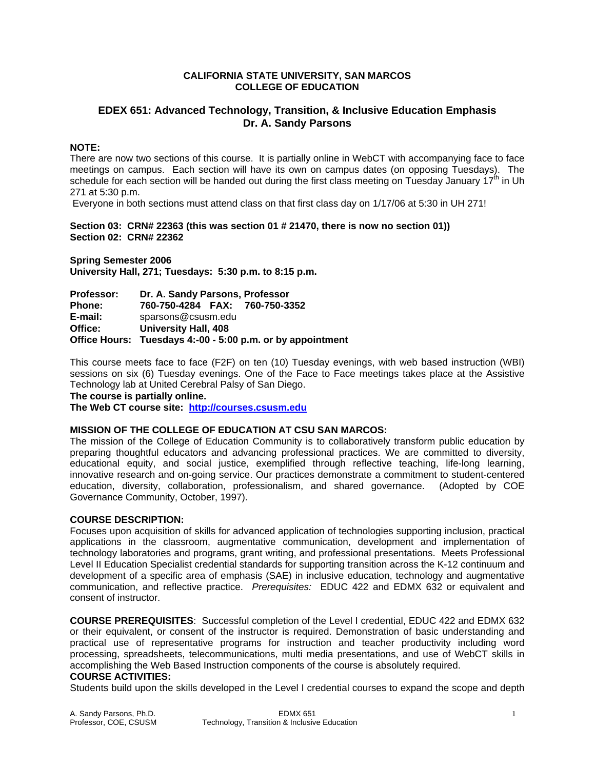## **CALIFORNIA STATE UNIVERSITY, SAN MARCOS COLLEGE OF EDUCATION**

# **EDEX 651: Advanced Technology, Transition, & Inclusive Education Emphasis Dr. A. Sandy Parsons**

# **NOTE:**

There are now two sections of this course. It is partially online in WebCT with accompanying face to face meetings on campus. Each section will have its own on campus dates (on opposing Tuesdays). The schedule for each section will be handed out during the first class meeting on Tuesday January  $17<sup>th</sup>$  in Uh 271 at 5:30 p.m.

Everyone in both sections must attend class on that first class day on 1/17/06 at 5:30 in UH 271!

**Section 03: CRN# 22363 (this was section 01 # 21470, there is now no section 01)) Section 02: CRN# 22362** 

**Spring Semester 2006 University Hall, 271; Tuesdays: 5:30 p.m. to 8:15 p.m.** 

| <b>Professor:</b> | Dr. A. Sandy Parsons, Professor                            |  |  |
|-------------------|------------------------------------------------------------|--|--|
| <b>Phone:</b>     | 760-750-4284 FAX: 760-750-3352                             |  |  |
| E-mail:           | sparsons@csusm.edu                                         |  |  |
| Office:           | <b>University Hall, 408</b>                                |  |  |
|                   | Office Hours: Tuesdays 4:-00 - 5:00 p.m. or by appointment |  |  |

This course meets face to face (F2F) on ten (10) Tuesday evenings, with web based instruction (WBI) sessions on six (6) Tuesday evenings. One of the Face to Face meetings takes place at the Assistive Technology lab at United Cerebral Palsy of San Diego.

**The course is partially online.** 

**The Web CT course site: http://courses.csusm.edu** 

## **MISSION OF THE COLLEGE OF EDUCATION AT CSU SAN MARCOS:**

The mission of the College of Education Community is to collaboratively transform public education by preparing thoughtful educators and advancing professional practices. We are committed to diversity, educational equity, and social justice, exemplified through reflective teaching, life-long learning, innovative research and on-going service. Our practices demonstrate a commitment to student-centered education, diversity, collaboration, professionalism, and shared governance. (Adopted by COE Governance Community, October, 1997).

## **COURSE DESCRIPTION:**

Focuses upon acquisition of skills for advanced application of technologies supporting inclusion, practical applications in the classroom, augmentative communication, development and implementation of technology laboratories and programs, grant writing, and professional presentations. Meets Professional Level II Education Specialist credential standards for supporting transition across the K-12 continuum and development of a specific area of emphasis (SAE) in inclusive education, technology and augmentative communication, and reflective practice. *Prerequisites:* EDUC 422 and EDMX 632 or equivalent and consent of instructor.

**COURSE PREREQUISITES**: Successful completion of the Level I credential, EDUC 422 and EDMX 632 or their equivalent, or consent of the instructor is required. Demonstration of basic understanding and practical use of representative programs for instruction and teacher productivity including word processing, spreadsheets, telecommunications, multi media presentations, and use of WebCT skills in accomplishing the Web Based Instruction components of the course is absolutely required.

# **COURSE ACTIVITIES:**

Students build upon the skills developed in the Level I credential courses to expand the scope and depth

| A. Sandy Parsons, Ph.D. | <b>EDMX 651</b>                              |  |
|-------------------------|----------------------------------------------|--|
| Professor, COE, CSUSM   | Technology, Transition & Inclusive Education |  |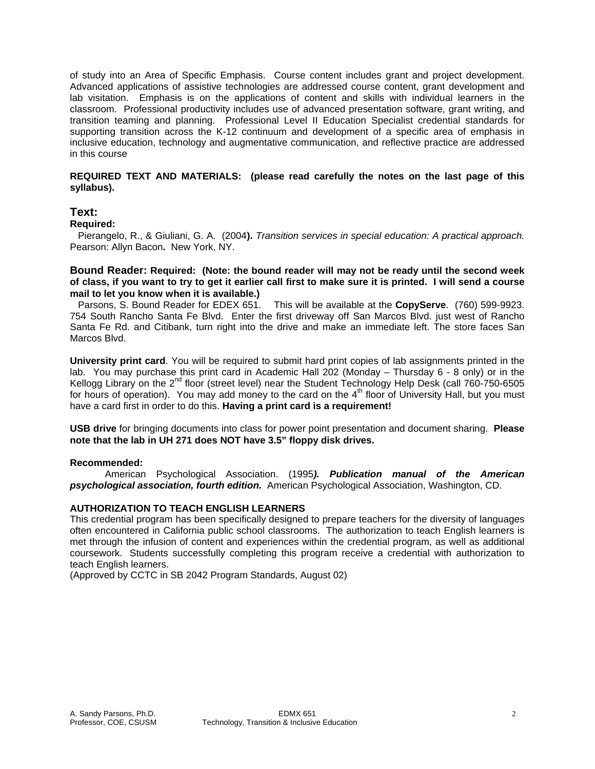of study into an Area of Specific Emphasis. Course content includes grant and project development. Advanced applications of assistive technologies are addressed course content, grant development and lab visitation. Emphasis is on the applications of content and skills with individual learners in the classroom. Professional productivity includes use of advanced presentation software, grant writing, and transition teaming and planning. Professional Level II Education Specialist credential standards for supporting transition across the K-12 continuum and development of a specific area of emphasis in inclusive education, technology and augmentative communication, and reflective practice are addressed in this course

## **REQUIRED TEXT AND MATERIALS: (please read carefully the notes on the last page of this syllabus).**

# **Text:**

# **Required:**

 Pierangelo, R., & Giuliani, G. A. (2004**).** *Transition services in special education: A practical approach.*  Pearson: Allyn Bacon**.** New York, NY.

## **Bound Reader: Required: (Note: the bound reader will may not be ready until the second week of class, if you want to try to get it earlier call first to make sure it is printed. I will send a course mail to let you know when it is available.)**

 Parsons, S. Bound Reader for EDEX 651. This will be available at the **CopyServe**. (760) 599-9923. 754 South Rancho Santa Fe Blvd. Enter the first driveway off San Marcos Blvd. just west of Rancho Santa Fe Rd. and Citibank, turn right into the drive and make an immediate left. The store faces San Marcos Blvd.

**University print card**. You will be required to submit hard print copies of lab assignments printed in the lab. You may purchase this print card in Academic Hall 202 (Monday – Thursday 6 - 8 only) or in the Kellogg Library on the 2<sup>nd</sup> floor (street level) near the Student Technology Help Desk (call 760-750-6505 for hours of operation). You may add money to the card on the  $4<sup>th</sup>$  floor of University Hall, but you must have a card first in order to do this. **Having a print card is a requirement!**

**USB drive** for bringing documents into class for power point presentation and document sharing. **Please note that the lab in UH 271 does NOT have 3.5" floppy disk drives.**

## **Recommended:**

 American Psychological Association. (1995*). Publication manual of the American psychological association, fourth edition.* American Psychological Association, Washington, CD.

# **AUTHORIZATION TO TEACH ENGLISH LEARNERS**

This credential program has been specifically designed to prepare teachers for the diversity of languages often encountered in California public school classrooms. The authorization to teach English learners is met through the infusion of content and experiences within the credential program, as well as additional coursework. Students successfully completing this program receive a credential with authorization to teach English learners.

(Approved by CCTC in SB 2042 Program Standards, August 02)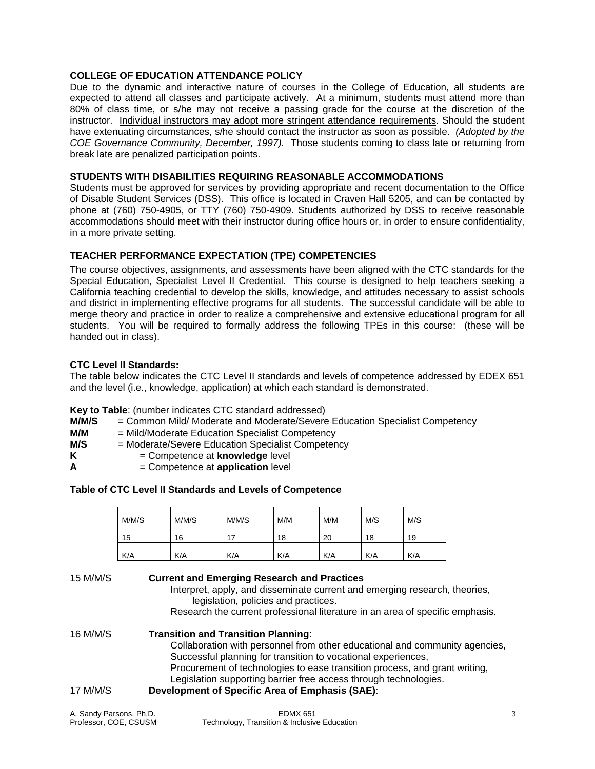# **COLLEGE OF EDUCATION ATTENDANCE POLICY**

Due to the dynamic and interactive nature of courses in the College of Education, all students are expected to attend all classes and participate actively. At a minimum, students must attend more than 80% of class time, or s/he may not receive a passing grade for the course at the discretion of the instructor. Individual instructors may adopt more stringent attendance requirements. Should the student have extenuating circumstances, s/he should contact the instructor as soon as possible. *(Adopted by the COE Governance Community, December, 1997).* Those students coming to class late or returning from break late are penalized participation points.

# **STUDENTS WITH DISABILITIES REQUIRING REASONABLE ACCOMMODATIONS**

Students must be approved for services by providing appropriate and recent documentation to the Office of Disable Student Services (DSS). This office is located in Craven Hall 5205, and can be contacted by phone at (760) 750-4905, or TTY (760) 750-4909. Students authorized by DSS to receive reasonable accommodations should meet with their instructor during office hours or, in order to ensure confidentiality, in a more private setting.

## **TEACHER PERFORMANCE EXPECTATION (TPE) COMPETENCIES**

The course objectives, assignments, and assessments have been aligned with the CTC standards for the Special Education, Specialist Level II Credential. This course is designed to help teachers seeking a California teaching credential to develop the skills, knowledge, and attitudes necessary to assist schools and district in implementing effective programs for all students. The successful candidate will be able to merge theory and practice in order to realize a comprehensive and extensive educational program for all students. You will be required to formally address the following TPEs in this course: (these will be handed out in class).

#### **CTC Level II Standards:**

The table below indicates the CTC Level II standards and levels of competence addressed by EDEX 651 and the level (i.e., knowledge, application) at which each standard is demonstrated.

#### **Key to Table**: (number indicates CTC standard addressed)

- **M/M/S** = Common Mild/ Moderate and Moderate/Severe Education Specialist Competency
- **M/M** = Mild/Moderate Education Specialist Competency
- **M/S** = Moderate/Severe Education Specialist Competency
- **K** = Competence at **knowledge** level
- **A** = Competence at **application** level

## **Table of CTC Level II Standards and Levels of Competence**

| M/M/S | M/M/S | M/M/S | M/M | M/M | M/S | M/S |
|-------|-------|-------|-----|-----|-----|-----|
| 15    | 16    |       | 18  | 20  | 18  | 19  |
| K/A   | K/A   | K/A   | K/A | K/A | K/A | K/A |

#### 15 M/M/S **Current and Emerging Research and Practices**

 Interpret, apply, and disseminate current and emerging research, theories, legislation, policies and practices.

Research the current professional literature in an area of specific emphasis.

# 16 M/M/S **Transition and Transition Planning**: Collaboration with personnel from other educational and community agencies, Successful planning for transition to vocational experiences, Procurement of technologies to ease transition process, and grant writing, Legislation supporting barrier free access through technologies. 17 M/M/S **Development of Specific Area of Emphasis (SAE)**:

A. Sandy Parsons, Ph.D. **EDMX 651 3** 3 Professor, COE, CSUSM Technology, Transition & Inclusive Education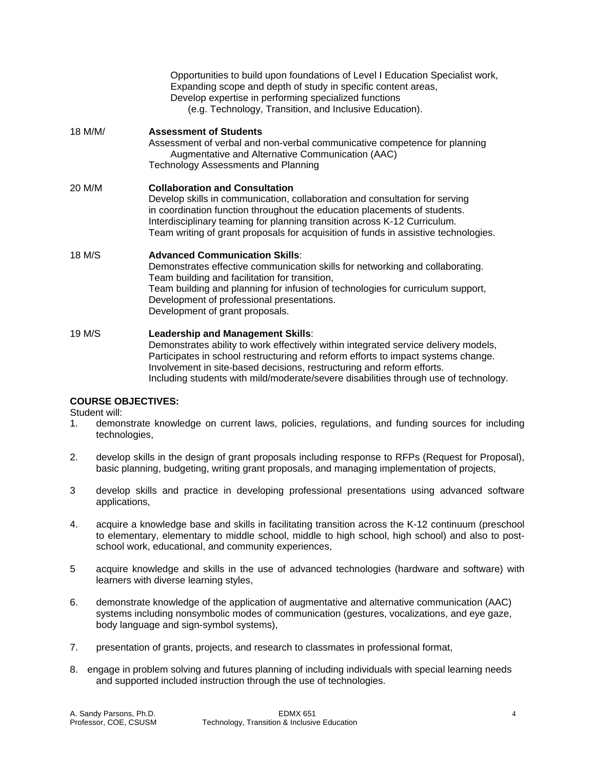|         | Opportunities to build upon foundations of Level I Education Specialist work,<br>Expanding scope and depth of study in specific content areas,<br>Develop expertise in performing specialized functions<br>(e.g. Technology, Transition, and Inclusive Education).                                                                                                              |
|---------|---------------------------------------------------------------------------------------------------------------------------------------------------------------------------------------------------------------------------------------------------------------------------------------------------------------------------------------------------------------------------------|
| 18 M/M/ | <b>Assessment of Students</b><br>Assessment of verbal and non-verbal communicative competence for planning<br>Augmentative and Alternative Communication (AAC)<br><b>Technology Assessments and Planning</b>                                                                                                                                                                    |
| 20 M/M  | <b>Collaboration and Consultation</b><br>Develop skills in communication, collaboration and consultation for serving<br>in coordination function throughout the education placements of students.<br>Interdisciplinary teaming for planning transition across K-12 Curriculum.<br>Team writing of grant proposals for acquisition of funds in assistive technologies.           |
| 18 M/S  | <b>Advanced Communication Skills:</b><br>Demonstrates effective communication skills for networking and collaborating.<br>Team building and facilitation for transition,<br>Team building and planning for infusion of technologies for curriculum support,<br>Development of professional presentations.<br>Development of grant proposals.                                    |
| 19 M/S  | Leadership and Management Skills:<br>Demonstrates ability to work effectively within integrated service delivery models,<br>Participates in school restructuring and reform efforts to impact systems change.<br>Involvement in site-based decisions, restructuring and reform efforts.<br>Including students with mild/moderate/severe disabilities through use of technology. |

# **COURSE OBJECTIVES:**

Student will:

- 1. demonstrate knowledge on current laws, policies, regulations, and funding sources for including technologies,
- 2. develop skills in the design of grant proposals including response to RFPs (Request for Proposal), basic planning, budgeting, writing grant proposals, and managing implementation of projects,
- 3 develop skills and practice in developing professional presentations using advanced software applications,
- 4. acquire a knowledge base and skills in facilitating transition across the K-12 continuum (preschool to elementary, elementary to middle school, middle to high school, high school) and also to postschool work, educational, and community experiences,
- 5 acquire knowledge and skills in the use of advanced technologies (hardware and software) with learners with diverse learning styles,
- 6. demonstrate knowledge of the application of augmentative and alternative communication (AAC) systems including nonsymbolic modes of communication (gestures, vocalizations, and eye gaze, body language and sign-symbol systems),
- 7. presentation of grants, projects, and research to classmates in professional format,
- 8. engage in problem solving and futures planning of including individuals with special learning needs and supported included instruction through the use of technologies.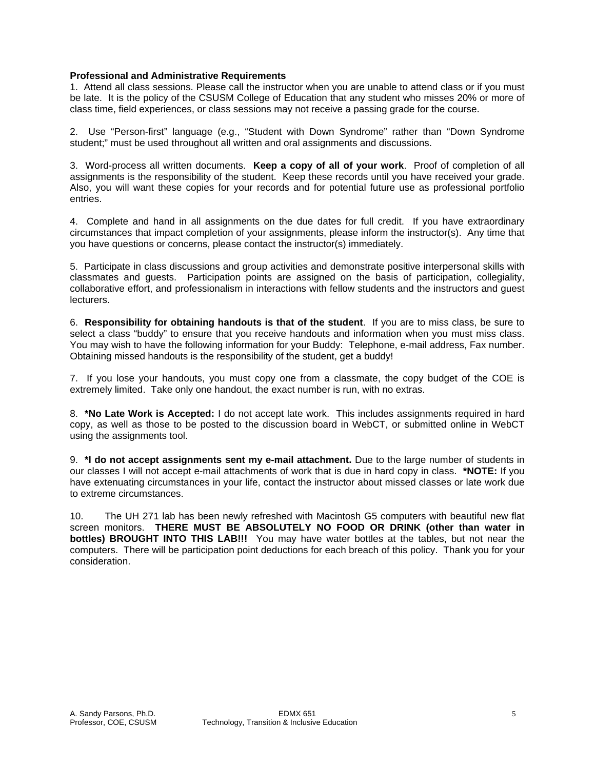## **Professional and Administrative Requirements**

1. Attend all class sessions. Please call the instructor when you are unable to attend class or if you must be late. It is the policy of the CSUSM College of Education that any student who misses 20% or more of class time, field experiences, or class sessions may not receive a passing grade for the course.

2. Use "Person-first" language (e.g., "Student with Down Syndrome" rather than "Down Syndrome student;" must be used throughout all written and oral assignments and discussions.

3. Word-process all written documents. **Keep a copy of all of your work**. Proof of completion of all assignments is the responsibility of the student. Keep these records until you have received your grade. Also, you will want these copies for your records and for potential future use as professional portfolio entries.

4. Complete and hand in all assignments on the due dates for full credit. If you have extraordinary circumstances that impact completion of your assignments, please inform the instructor(s). Any time that you have questions or concerns, please contact the instructor(s) immediately.

5. Participate in class discussions and group activities and demonstrate positive interpersonal skills with classmates and guests. Participation points are assigned on the basis of participation, collegiality, collaborative effort, and professionalism in interactions with fellow students and the instructors and guest lecturers.

6. **Responsibility for obtaining handouts is that of the student**. If you are to miss class, be sure to select a class "buddy" to ensure that you receive handouts and information when you must miss class. You may wish to have the following information for your Buddy: Telephone, e-mail address, Fax number. Obtaining missed handouts is the responsibility of the student, get a buddy!

7. If you lose your handouts, you must copy one from a classmate, the copy budget of the COE is extremely limited. Take only one handout, the exact number is run, with no extras.

8. **\*No Late Work is Accepted:** I do not accept late work. This includes assignments required in hard copy, as well as those to be posted to the discussion board in WebCT, or submitted online in WebCT using the assignments tool.

9. **\*I do not accept assignments sent my e-mail attachment.** Due to the large number of students in our classes I will not accept e-mail attachments of work that is due in hard copy in class. **\*NOTE:** If you have extenuating circumstances in your life, contact the instructor about missed classes or late work due to extreme circumstances.

10. The UH 271 lab has been newly refreshed with Macintosh G5 computers with beautiful new flat screen monitors. **THERE MUST BE ABSOLUTELY NO FOOD OR DRINK (other than water in bottles) BROUGHT INTO THIS LAB!!!** You may have water bottles at the tables, but not near the computers. There will be participation point deductions for each breach of this policy. Thank you for your consideration.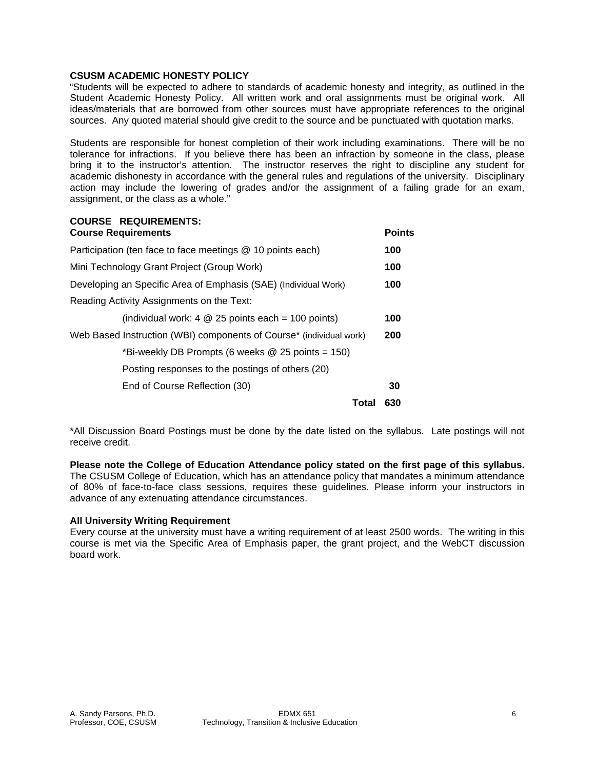## **CSUSM ACADEMIC HONESTY POLICY**

"Students will be expected to adhere to standards of academic honesty and integrity, as outlined in the Student Academic Honesty Policy. All written work and oral assignments must be original work. All ideas/materials that are borrowed from other sources must have appropriate references to the original sources. Any quoted material should give credit to the source and be punctuated with quotation marks.

Students are responsible for honest completion of their work including examinations. There will be no tolerance for infractions. If you believe there has been an infraction by someone in the class, please bring it to the instructor's attention. The instructor reserves the right to discipline any student for academic dishonesty in accordance with the general rules and regulations of the university. Disciplinary action may include the lowering of grades and/or the assignment of a failing grade for an exam, assignment, or the class as a whole."

#### **COURSE REQUIREMENTS: Course Requirements Points**

| Participation (ten face to face meetings @ 10 points each)          |     |  |  |
|---------------------------------------------------------------------|-----|--|--|
| Mini Technology Grant Project (Group Work)                          |     |  |  |
| Developing an Specific Area of Emphasis (SAE) (Individual Work)     |     |  |  |
| Reading Activity Assignments on the Text:                           |     |  |  |
| (individual work: $4 \& 25$ points each = 100 points)               | 100 |  |  |
| Web Based Instruction (WBI) components of Course* (individual work) |     |  |  |
| *Bi-weekly DB Prompts (6 weeks @ 25 points = 150)                   |     |  |  |
| Posting responses to the postings of others (20)                    |     |  |  |
| End of Course Reflection (30)                                       | 30  |  |  |
| Total                                                               | 630 |  |  |

\*All Discussion Board Postings must be done by the date listed on the syllabus. Late postings will not receive credit.

**Please note the College of Education Attendance policy stated on the first page of this syllabus.**  The CSUSM College of Education, which has an attendance policy that mandates a minimum attendance of 80% of face-to-face class sessions, requires these guidelines. Please inform your instructors in advance of any extenuating attendance circumstances.

## **All University Writing Requirement**

Every course at the university must have a writing requirement of at least 2500 words. The writing in this course is met via the Specific Area of Emphasis paper, the grant project, and the WebCT discussion board work.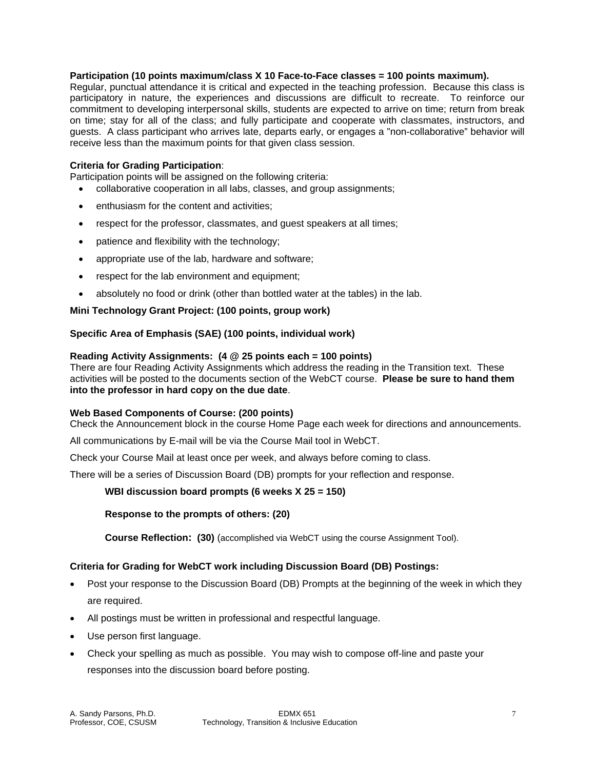## **Participation (10 points maximum/class X 10 Face-to-Face classes = 100 points maximum).**

Regular, punctual attendance it is critical and expected in the teaching profession. Because this class is participatory in nature, the experiences and discussions are difficult to recreate. To reinforce our commitment to developing interpersonal skills, students are expected to arrive on time; return from break on time; stay for all of the class; and fully participate and cooperate with classmates, instructors, and guests. A class participant who arrives late, departs early, or engages a "non-collaborative" behavior will receive less than the maximum points for that given class session.

#### **Criteria for Grading Participation**:

Participation points will be assigned on the following criteria:

- collaborative cooperation in all labs, classes, and group assignments;
- enthusiasm for the content and activities;
- respect for the professor, classmates, and guest speakers at all times;
- patience and flexibility with the technology;
- appropriate use of the lab, hardware and software;
- respect for the lab environment and equipment;
- absolutely no food or drink (other than bottled water at the tables) in the lab.

## **Mini Technology Grant Project: (100 points, group work)**

#### **Specific Area of Emphasis (SAE) (100 points, individual work)**

#### **Reading Activity Assignments: (4 @ 25 points each = 100 points)**

There are four Reading Activity Assignments which address the reading in the Transition text. These activities will be posted to the documents section of the WebCT course. **Please be sure to hand them into the professor in hard copy on the due date**.

#### **Web Based Components of Course: (200 points)**

Check the Announcement block in the course Home Page each week for directions and announcements.

All communications by E-mail will be via the Course Mail tool in WebCT.

Check your Course Mail at least once per week, and always before coming to class.

There will be a series of Discussion Board (DB) prompts for your reflection and response.

#### **WBI discussion board prompts (6 weeks X 25 = 150)**

#### **Response to the prompts of others: (20)**

**Course Reflection: (30)** (accomplished via WebCT using the course Assignment Tool).

## **Criteria for Grading for WebCT work including Discussion Board (DB) Postings:**

- Post your response to the Discussion Board (DB) Prompts at the beginning of the week in which they are required.
- All postings must be written in professional and respectful language.
- Use person first language.
- Check your spelling as much as possible. You may wish to compose off-line and paste your responses into the discussion board before posting.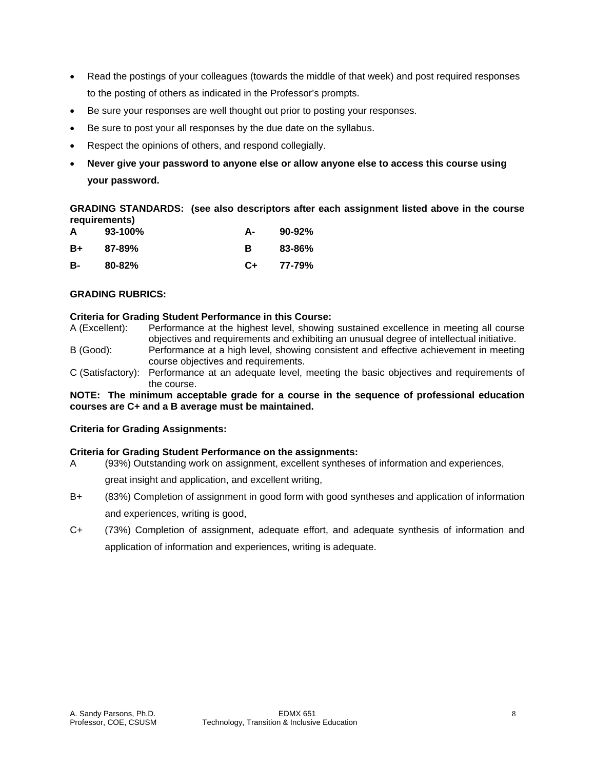- Read the postings of your colleagues (towards the middle of that week) and post required responses to the posting of others as indicated in the Professor's prompts.
- Be sure your responses are well thought out prior to posting your responses.
- Be sure to post your all responses by the due date on the syllabus.
- Respect the opinions of others, and respond collegially.
- **Never give your password to anyone else or allow anyone else to access this course using your password.**

**GRADING STANDARDS: (see also descriptors after each assignment listed above in the course requirements)** 

| A  | $93-100\%$ | А- | 90-92% |
|----|------------|----|--------|
| B+ | 87-89%     | в  | 83-86% |
| в- | $80 - 82%$ | C+ | 77-79% |

# **GRADING RUBRICS:**

#### **Criteria for Grading Student Performance in this Course:**

- A (Excellent): Performance at the highest level, showing sustained excellence in meeting all course objectives and requirements and exhibiting an unusual degree of intellectual initiative.
- B (Good): Performance at a high level, showing consistent and effective achievement in meeting course objectives and requirements.
- C (Satisfactory): Performance at an adequate level, meeting the basic objectives and requirements of the course.

## **NOTE: The minimum acceptable grade for a course in the sequence of professional education courses are C+ and a B average must be maintained.**

## **Criteria for Grading Assignments:**

## **Criteria for Grading Student Performance on the assignments:**

- A (93%) Outstanding work on assignment, excellent syntheses of information and experiences, great insight and application, and excellent writing,
- B+ (83%) Completion of assignment in good form with good syntheses and application of information and experiences, writing is good,
- C+ (73%) Completion of assignment, adequate effort, and adequate synthesis of information and application of information and experiences, writing is adequate.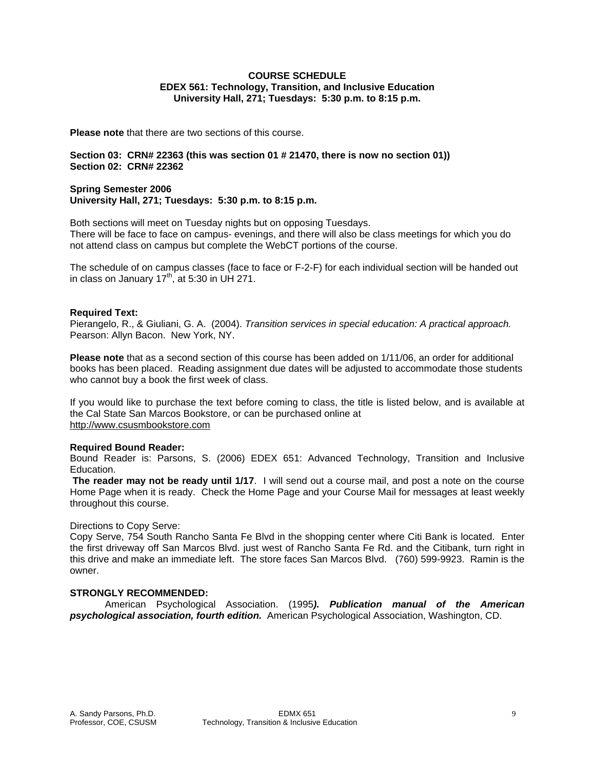#### **COURSE SCHEDULE EDEX 561: Technology, Transition, and Inclusive Education University Hall, 271; Tuesdays: 5:30 p.m. to 8:15 p.m.**

**Please note** that there are two sections of this course.

#### **Section 03: CRN# 22363 (this was section 01 # 21470, there is now no section 01)) Section 02: CRN# 22362**

#### **Spring Semester 2006 University Hall, 271; Tuesdays: 5:30 p.m. to 8:15 p.m.**

Both sections will meet on Tuesday nights but on opposing Tuesdays. There will be face to face on campus- evenings, and there will also be class meetings for which you do not attend class on campus but complete the WebCT portions of the course.

The schedule of on campus classes (face to face or F-2-F) for each individual section will be handed out in class on January  $17<sup>th</sup>$ , at 5:30 in UH 271.

## **Required Text:**

Pierangelo, R., & Giuliani, G. A. (2004). *Transition services in special education: A practical approach.*  Pearson: Allyn Bacon. New York, NY.

**Please note** that as a second section of this course has been added on 1/11/06, an order for additional books has been placed. Reading assignment due dates will be adjusted to accommodate those students who cannot buy a book the first week of class.

If you would like to purchase the text before coming to class, the title is listed below, and is available at the Cal State San Marcos Bookstore, or can be purchased online at http://www.csusmbookstore.com

## **Required Bound Reader:**

Bound Reader is: Parsons, S. (2006) EDEX 651: Advanced Technology, Transition and Inclusive Education.

**The reader may not be ready until 1/17**. I will send out a course mail, and post a note on the course Home Page when it is ready. Check the Home Page and your Course Mail for messages at least weekly throughout this course.

## Directions to Copy Serve:

Copy Serve, 754 South Rancho Santa Fe Blvd in the shopping center where Citi Bank is located. Enter the first driveway off San Marcos Blvd. just west of Rancho Santa Fe Rd. and the Citibank, turn right in this drive and make an immediate left. The store faces San Marcos Blvd. (760) 599-9923. Ramin is the owner.

# **STRONGLY RECOMMENDED:**

 American Psychological Association. (1995*). Publication manual of the American psychological association, fourth edition.* American Psychological Association, Washington, CD.